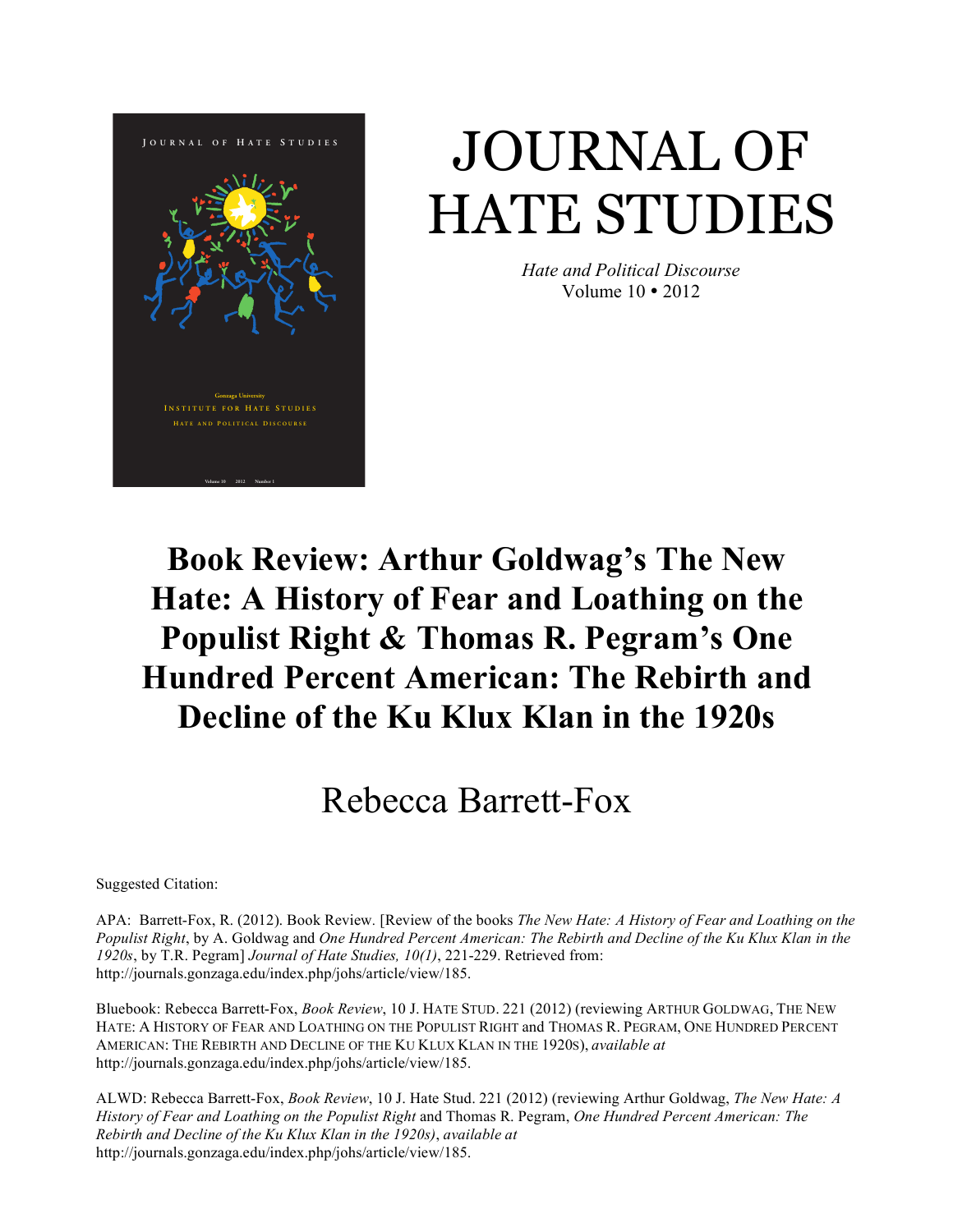

# JOURNAL OF HATE STUDIES

*Hate and Political Discourse* Volume 10 • 2012

### **Book Review: Arthur Goldwag's The New Hate: A History of Fear and Loathing on the Populist Right & Thomas R. Pegram's One Hundred Percent American: The Rebirth and Decline of the Ku Klux Klan in the 1920s**

## Rebecca Barrett-Fox

Suggested Citation:

APA: Barrett-Fox, R. (2012). Book Review*.* [Review of the books *The New Hate: A History of Fear and Loathing on the Populist Right*, by A. Goldwag and *One Hundred Percent American: The Rebirth and Decline of the Ku Klux Klan in the 1920s*, by T.R. Pegram] *Journal of Hate Studies, 10(1)*, 221-229. Retrieved from: http://journals.gonzaga.edu/index.php/johs/article/view/185.

Bluebook: Rebecca Barrett-Fox, *Book Review*, 10 J. HATE STUD. 221 (2012) (reviewing ARTHUR GOLDWAG, THE NEW HATE: A HISTORY OF FEAR AND LOATHING ON THE POPULIST RIGHT and THOMAS R. PEGRAM, ONE HUNDRED PERCENT AMERICAN: THE REBIRTH AND DECLINE OF THE KU KLUX KLAN IN THE 1920S), *available at*  http://journals.gonzaga.edu/index.php/johs/article/view/185.

ALWD: Rebecca Barrett-Fox, *Book Review*, 10 J. Hate Stud. 221 (2012) (reviewing Arthur Goldwag, *The New Hate: A History of Fear and Loathing on the Populist Right* and Thomas R. Pegram, *One Hundred Percent American: The Rebirth and Decline of the Ku Klux Klan in the 1920s)*, *available at*  http://journals.gonzaga.edu/index.php/johs/article/view/185.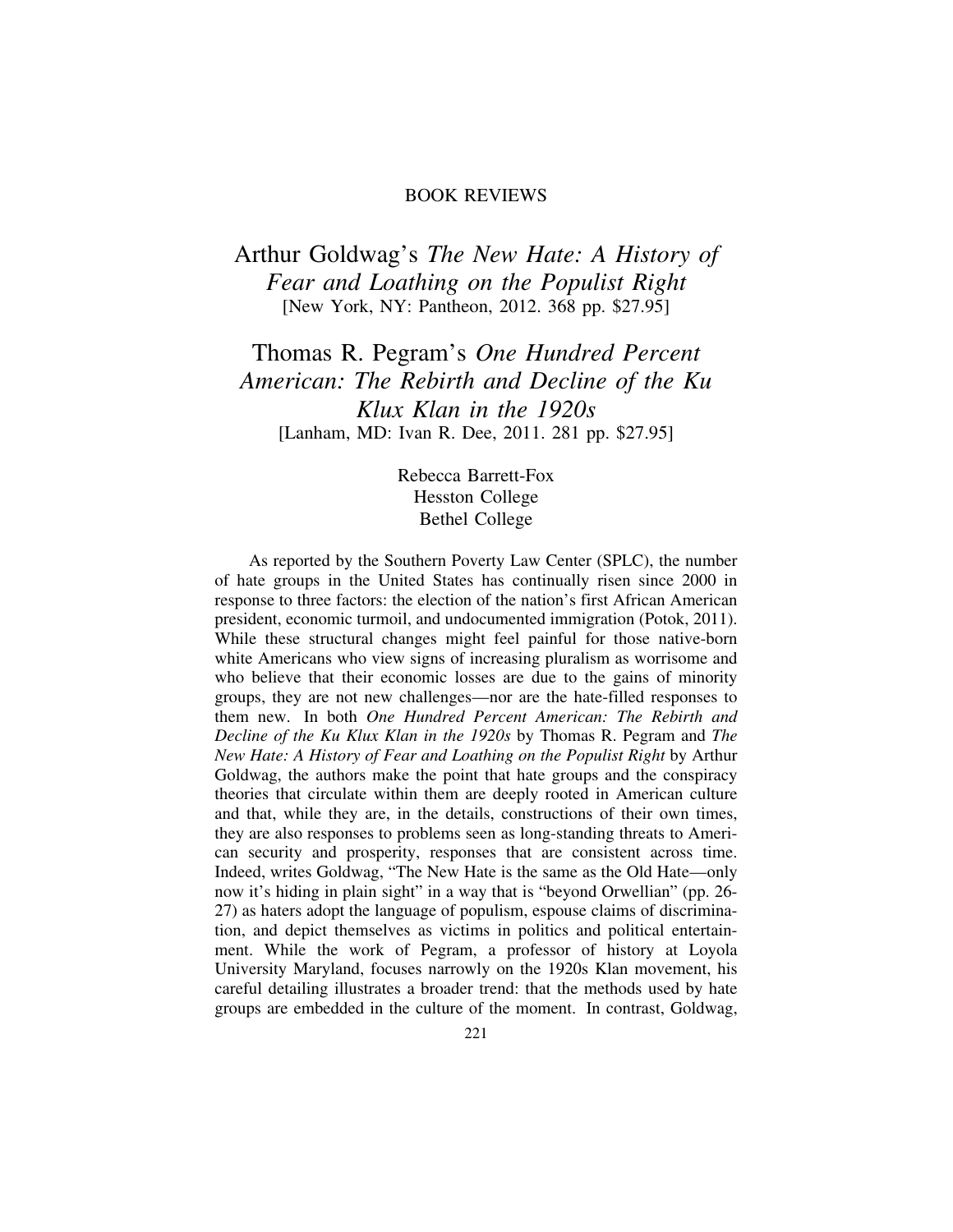#### BOOK REVIEWS

### Arthur Goldwag's *The New Hate: A History of Fear and Loathing on the Populist Right* [New York, NY: Pantheon, 2012. 368 pp. \$27.95]

Thomas R. Pegram's *One Hundred Percent American: The Rebirth and Decline of the Ku Klux Klan in the 1920s* [Lanham, MD: Ivan R. Dee, 2011. 281 pp. \$27.95]

> Rebecca Barrett-Fox Hesston College Bethel College

As reported by the Southern Poverty Law Center (SPLC), the number of hate groups in the United States has continually risen since 2000 in response to three factors: the election of the nation's first African American president, economic turmoil, and undocumented immigration (Potok, 2011). While these structural changes might feel painful for those native-born white Americans who view signs of increasing pluralism as worrisome and who believe that their economic losses are due to the gains of minority groups, they are not new challenges—nor are the hate-filled responses to them new. In both *One Hundred Percent American: The Rebirth and Decline of the Ku Klux Klan in the 1920s* by Thomas R. Pegram and *The New Hate: A History of Fear and Loathing on the Populist Right* by Arthur Goldwag, the authors make the point that hate groups and the conspiracy theories that circulate within them are deeply rooted in American culture and that, while they are, in the details, constructions of their own times, they are also responses to problems seen as long-standing threats to American security and prosperity, responses that are consistent across time. Indeed, writes Goldwag, "The New Hate is the same as the Old Hate—only now it's hiding in plain sight" in a way that is "beyond Orwellian" (pp. 26- 27) as haters adopt the language of populism, espouse claims of discrimination, and depict themselves as victims in politics and political entertainment. While the work of Pegram, a professor of history at Loyola University Maryland, focuses narrowly on the 1920s Klan movement, his careful detailing illustrates a broader trend: that the methods used by hate groups are embedded in the culture of the moment. In contrast, Goldwag,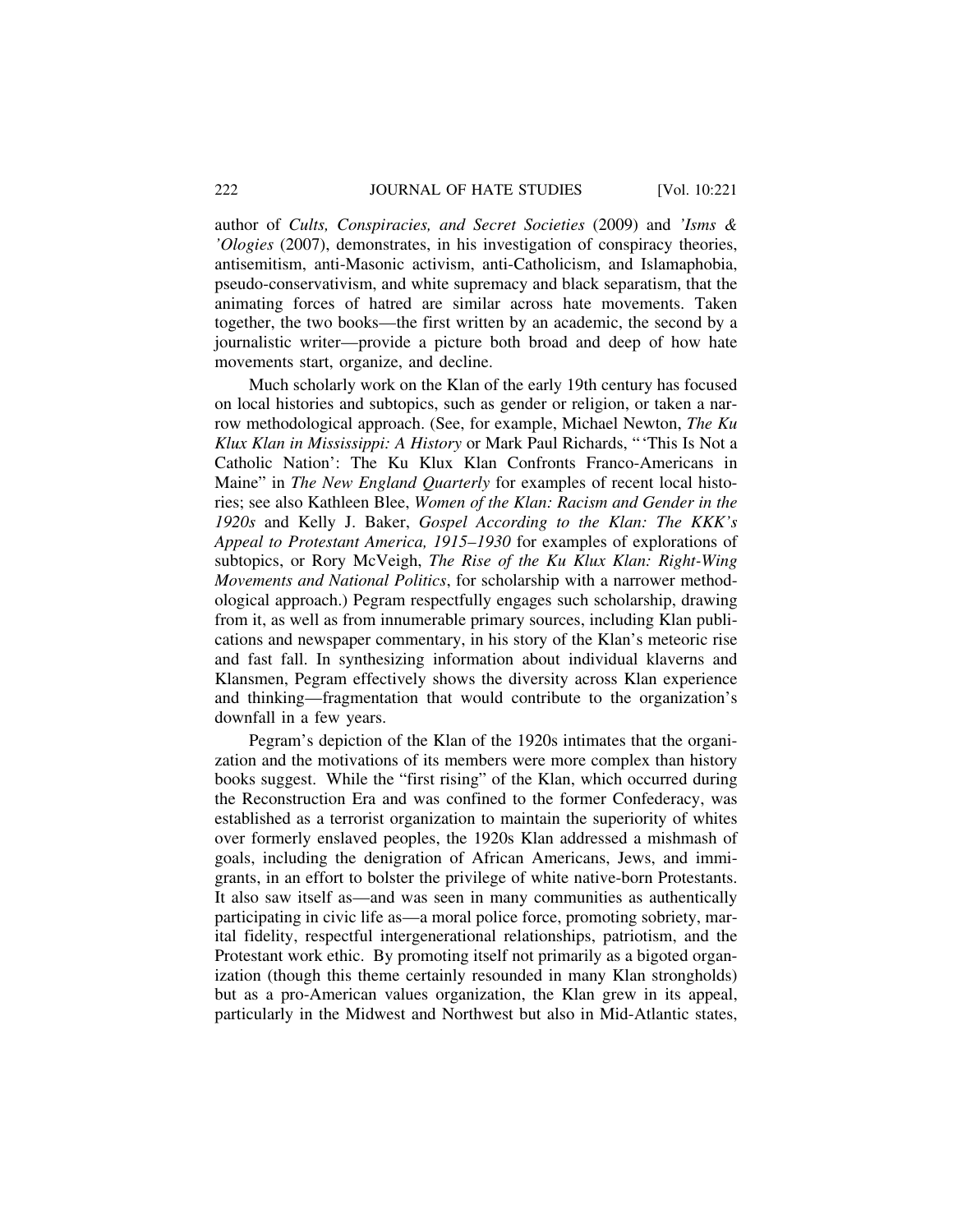author of *Cults, Conspiracies, and Secret Societies* (2009) and *'Isms & 'Ologies* (2007), demonstrates, in his investigation of conspiracy theories, antisemitism, anti-Masonic activism, anti-Catholicism, and Islamaphobia, pseudo-conservativism, and white supremacy and black separatism, that the animating forces of hatred are similar across hate movements. Taken together, the two books—the first written by an academic, the second by a journalistic writer—provide a picture both broad and deep of how hate movements start, organize, and decline.

Much scholarly work on the Klan of the early 19th century has focused on local histories and subtopics, such as gender or religion, or taken a narrow methodological approach. (See, for example, Michael Newton, *The Ku Klux Klan in Mississippi: A History* or Mark Paul Richards, "'This Is Not a Catholic Nation': The Ku Klux Klan Confronts Franco-Americans in Maine" in *The New England Quarterly* for examples of recent local histories; see also Kathleen Blee, *Women of the Klan: Racism and Gender in the 1920s* and Kelly J. Baker, *Gospel According to the Klan: The KKK's Appeal to Protestant America, 1915–1930* for examples of explorations of subtopics, or Rory McVeigh, *The Rise of the Ku Klux Klan: Right-Wing Movements and National Politics*, for scholarship with a narrower methodological approach.) Pegram respectfully engages such scholarship, drawing from it, as well as from innumerable primary sources, including Klan publications and newspaper commentary, in his story of the Klan's meteoric rise and fast fall. In synthesizing information about individual klaverns and Klansmen, Pegram effectively shows the diversity across Klan experience and thinking—fragmentation that would contribute to the organization's downfall in a few years.

Pegram's depiction of the Klan of the 1920s intimates that the organization and the motivations of its members were more complex than history books suggest. While the "first rising" of the Klan, which occurred during the Reconstruction Era and was confined to the former Confederacy, was established as a terrorist organization to maintain the superiority of whites over formerly enslaved peoples, the 1920s Klan addressed a mishmash of goals, including the denigration of African Americans, Jews, and immigrants, in an effort to bolster the privilege of white native-born Protestants. It also saw itself as—and was seen in many communities as authentically participating in civic life as—a moral police force, promoting sobriety, marital fidelity, respectful intergenerational relationships, patriotism, and the Protestant work ethic. By promoting itself not primarily as a bigoted organization (though this theme certainly resounded in many Klan strongholds) but as a pro-American values organization, the Klan grew in its appeal, particularly in the Midwest and Northwest but also in Mid-Atlantic states,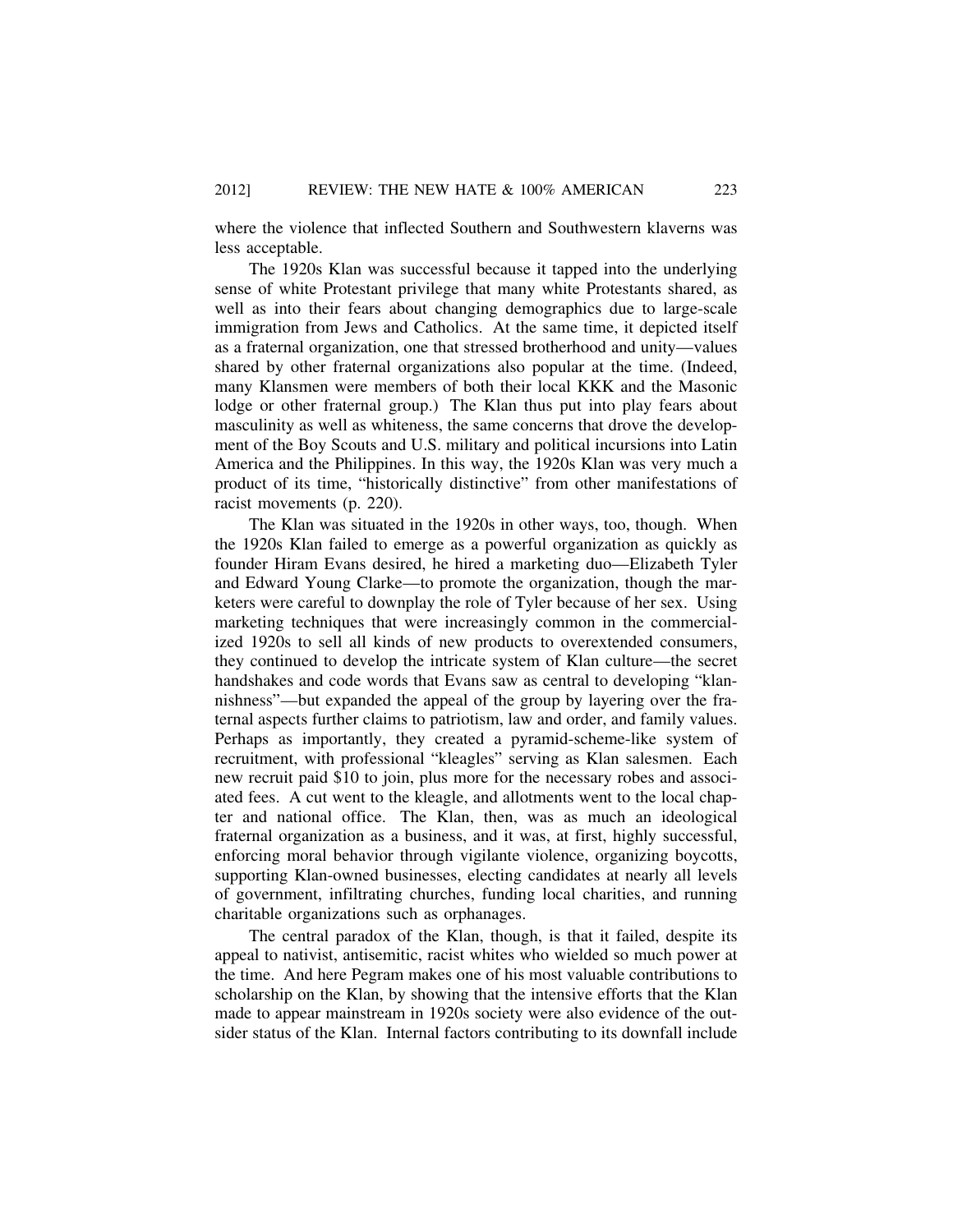where the violence that inflected Southern and Southwestern klaverns was less acceptable.

The 1920s Klan was successful because it tapped into the underlying sense of white Protestant privilege that many white Protestants shared, as well as into their fears about changing demographics due to large-scale immigration from Jews and Catholics. At the same time, it depicted itself as a fraternal organization, one that stressed brotherhood and unity—values shared by other fraternal organizations also popular at the time. (Indeed, many Klansmen were members of both their local KKK and the Masonic lodge or other fraternal group.) The Klan thus put into play fears about masculinity as well as whiteness, the same concerns that drove the development of the Boy Scouts and U.S. military and political incursions into Latin America and the Philippines. In this way, the 1920s Klan was very much a product of its time, "historically distinctive" from other manifestations of racist movements (p. 220).

The Klan was situated in the 1920s in other ways, too, though. When the 1920s Klan failed to emerge as a powerful organization as quickly as founder Hiram Evans desired, he hired a marketing duo—Elizabeth Tyler and Edward Young Clarke—to promote the organization, though the marketers were careful to downplay the role of Tyler because of her sex. Using marketing techniques that were increasingly common in the commercialized 1920s to sell all kinds of new products to overextended consumers, they continued to develop the intricate system of Klan culture—the secret handshakes and code words that Evans saw as central to developing "klannishness"—but expanded the appeal of the group by layering over the fraternal aspects further claims to patriotism, law and order, and family values. Perhaps as importantly, they created a pyramid-scheme-like system of recruitment, with professional "kleagles" serving as Klan salesmen. Each new recruit paid \$10 to join, plus more for the necessary robes and associated fees. A cut went to the kleagle, and allotments went to the local chapter and national office. The Klan, then, was as much an ideological fraternal organization as a business, and it was, at first, highly successful, enforcing moral behavior through vigilante violence, organizing boycotts, supporting Klan-owned businesses, electing candidates at nearly all levels of government, infiltrating churches, funding local charities, and running charitable organizations such as orphanages.

The central paradox of the Klan, though, is that it failed, despite its appeal to nativist, antisemitic, racist whites who wielded so much power at the time. And here Pegram makes one of his most valuable contributions to scholarship on the Klan, by showing that the intensive efforts that the Klan made to appear mainstream in 1920s society were also evidence of the outsider status of the Klan. Internal factors contributing to its downfall include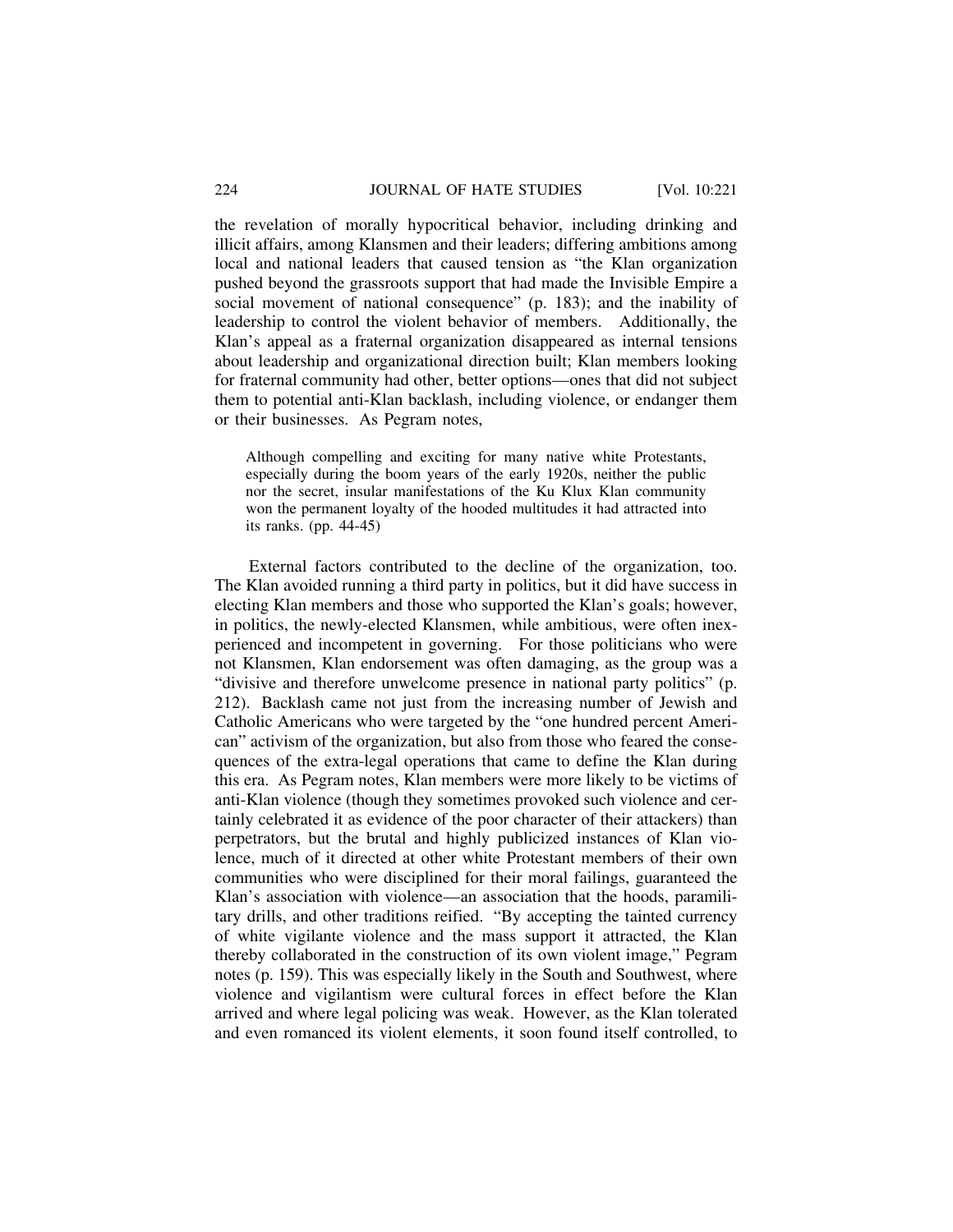the revelation of morally hypocritical behavior, including drinking and illicit affairs, among Klansmen and their leaders; differing ambitions among local and national leaders that caused tension as "the Klan organization pushed beyond the grassroots support that had made the Invisible Empire a social movement of national consequence" (p. 183); and the inability of leadership to control the violent behavior of members. Additionally, the Klan's appeal as a fraternal organization disappeared as internal tensions about leadership and organizational direction built; Klan members looking for fraternal community had other, better options—ones that did not subject them to potential anti-Klan backlash, including violence, or endanger them or their businesses. As Pegram notes,

Although compelling and exciting for many native white Protestants, especially during the boom years of the early 1920s, neither the public nor the secret, insular manifestations of the Ku Klux Klan community won the permanent loyalty of the hooded multitudes it had attracted into its ranks. (pp. 44-45)

External factors contributed to the decline of the organization, too. The Klan avoided running a third party in politics, but it did have success in electing Klan members and those who supported the Klan's goals; however, in politics, the newly-elected Klansmen, while ambitious, were often inexperienced and incompetent in governing. For those politicians who were not Klansmen, Klan endorsement was often damaging, as the group was a "divisive and therefore unwelcome presence in national party politics" (p. 212). Backlash came not just from the increasing number of Jewish and Catholic Americans who were targeted by the "one hundred percent American" activism of the organization, but also from those who feared the consequences of the extra-legal operations that came to define the Klan during this era. As Pegram notes, Klan members were more likely to be victims of anti-Klan violence (though they sometimes provoked such violence and certainly celebrated it as evidence of the poor character of their attackers) than perpetrators, but the brutal and highly publicized instances of Klan violence, much of it directed at other white Protestant members of their own communities who were disciplined for their moral failings, guaranteed the Klan's association with violence—an association that the hoods, paramilitary drills, and other traditions reified. "By accepting the tainted currency of white vigilante violence and the mass support it attracted, the Klan thereby collaborated in the construction of its own violent image," Pegram notes (p. 159). This was especially likely in the South and Southwest, where violence and vigilantism were cultural forces in effect before the Klan arrived and where legal policing was weak. However, as the Klan tolerated and even romanced its violent elements, it soon found itself controlled, to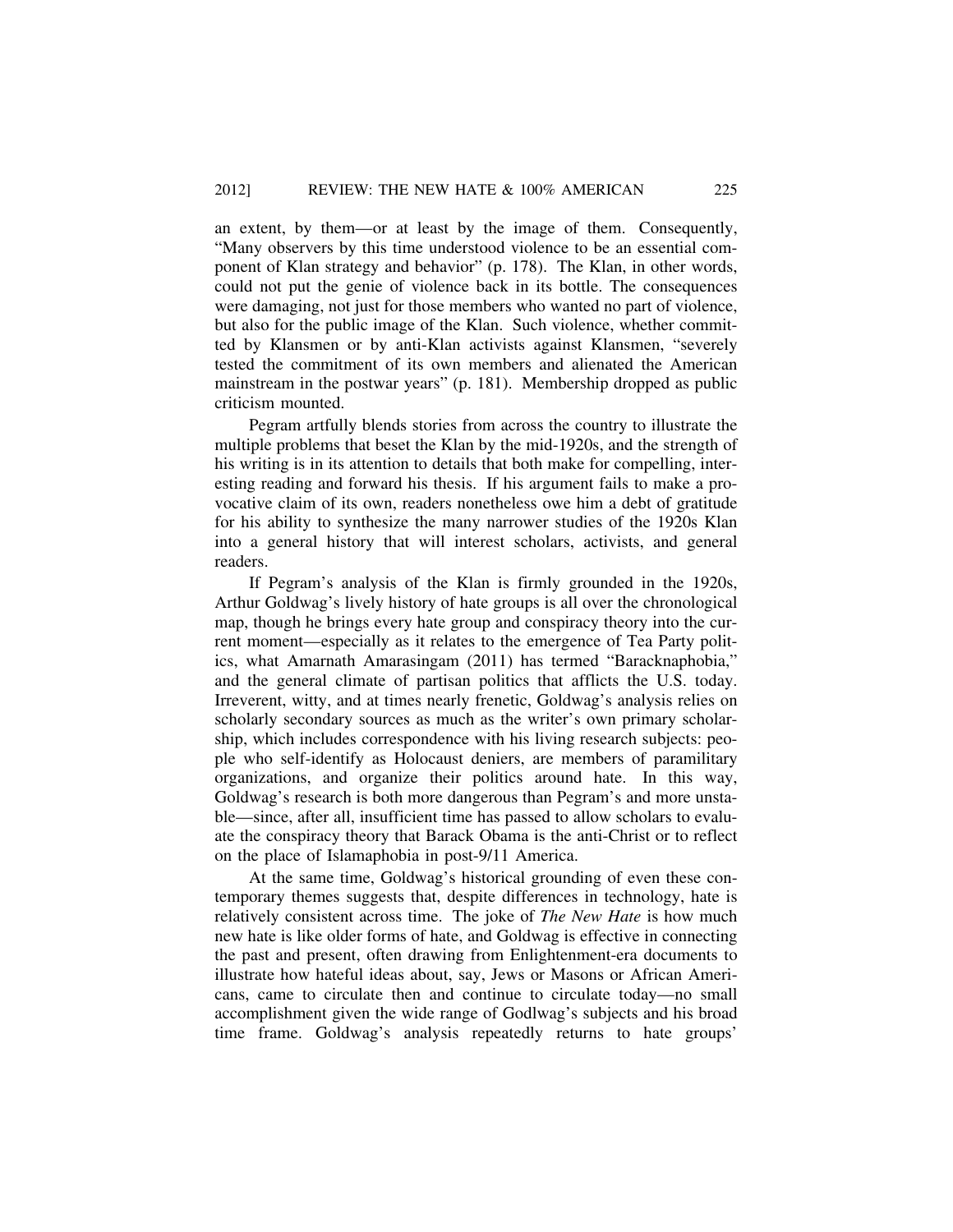an extent, by them—or at least by the image of them. Consequently, "Many observers by this time understood violence to be an essential component of Klan strategy and behavior" (p. 178). The Klan, in other words, could not put the genie of violence back in its bottle. The consequences were damaging, not just for those members who wanted no part of violence, but also for the public image of the Klan. Such violence, whether committed by Klansmen or by anti-Klan activists against Klansmen, "severely tested the commitment of its own members and alienated the American mainstream in the postwar years" (p. 181). Membership dropped as public criticism mounted.

Pegram artfully blends stories from across the country to illustrate the multiple problems that beset the Klan by the mid-1920s, and the strength of his writing is in its attention to details that both make for compelling, interesting reading and forward his thesis. If his argument fails to make a provocative claim of its own, readers nonetheless owe him a debt of gratitude for his ability to synthesize the many narrower studies of the 1920s Klan into a general history that will interest scholars, activists, and general readers.

If Pegram's analysis of the Klan is firmly grounded in the 1920s, Arthur Goldwag's lively history of hate groups is all over the chronological map, though he brings every hate group and conspiracy theory into the current moment—especially as it relates to the emergence of Tea Party politics, what Amarnath Amarasingam (2011) has termed "Baracknaphobia," and the general climate of partisan politics that afflicts the U.S. today. Irreverent, witty, and at times nearly frenetic, Goldwag's analysis relies on scholarly secondary sources as much as the writer's own primary scholarship, which includes correspondence with his living research subjects: people who self-identify as Holocaust deniers, are members of paramilitary organizations, and organize their politics around hate. In this way, Goldwag's research is both more dangerous than Pegram's and more unstable—since, after all, insufficient time has passed to allow scholars to evaluate the conspiracy theory that Barack Obama is the anti-Christ or to reflect on the place of Islamaphobia in post-9/11 America.

At the same time, Goldwag's historical grounding of even these contemporary themes suggests that, despite differences in technology, hate is relatively consistent across time. The joke of *The New Hate* is how much new hate is like older forms of hate, and Goldwag is effective in connecting the past and present, often drawing from Enlightenment-era documents to illustrate how hateful ideas about, say, Jews or Masons or African Americans, came to circulate then and continue to circulate today—no small accomplishment given the wide range of Godlwag's subjects and his broad time frame. Goldwag's analysis repeatedly returns to hate groups'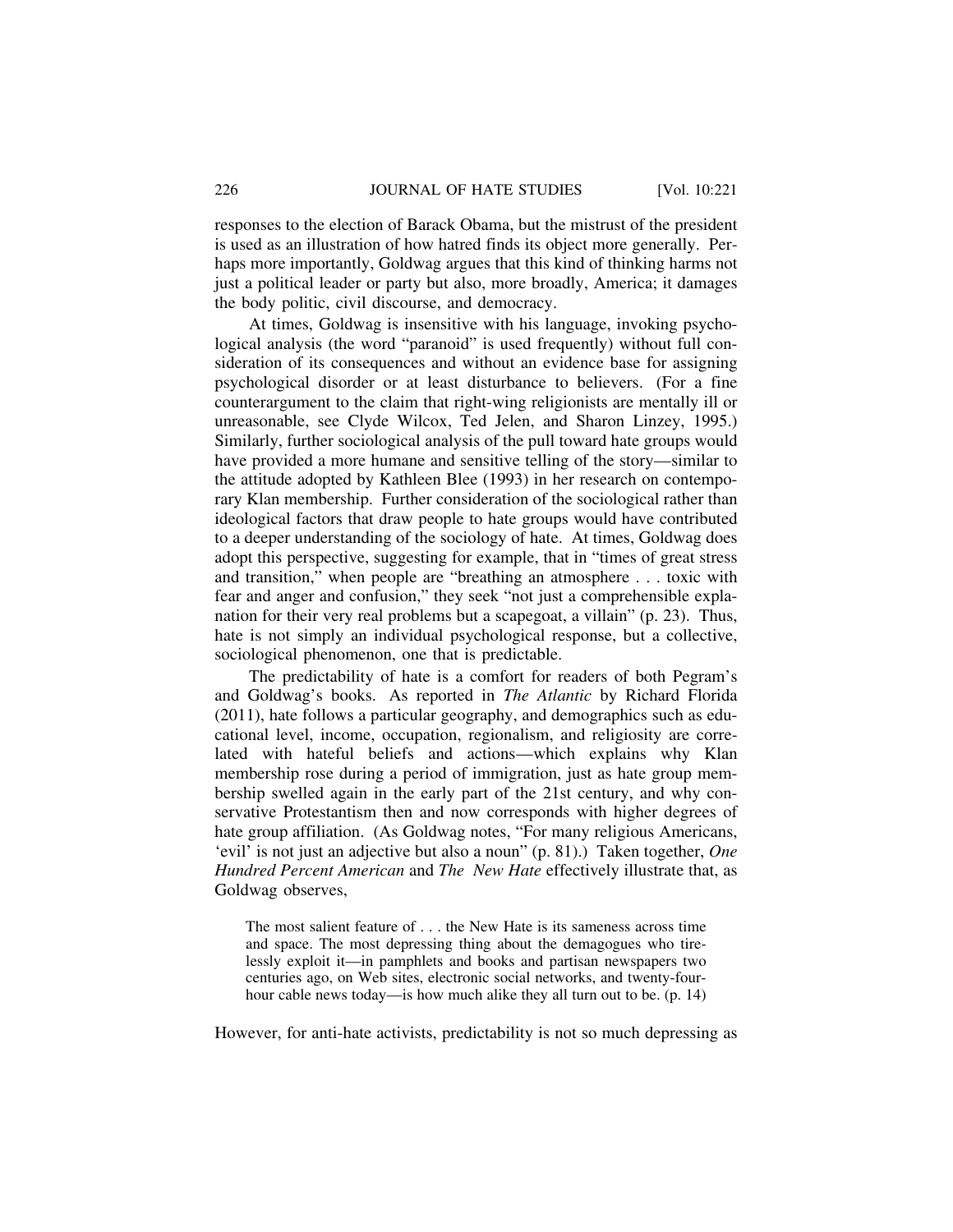responses to the election of Barack Obama, but the mistrust of the president is used as an illustration of how hatred finds its object more generally. Perhaps more importantly, Goldwag argues that this kind of thinking harms not just a political leader or party but also, more broadly, America; it damages the body politic, civil discourse, and democracy.

At times, Goldwag is insensitive with his language, invoking psychological analysis (the word "paranoid" is used frequently) without full consideration of its consequences and without an evidence base for assigning psychological disorder or at least disturbance to believers. (For a fine counterargument to the claim that right-wing religionists are mentally ill or unreasonable, see Clyde Wilcox, Ted Jelen, and Sharon Linzey, 1995.) Similarly, further sociological analysis of the pull toward hate groups would have provided a more humane and sensitive telling of the story—similar to the attitude adopted by Kathleen Blee (1993) in her research on contemporary Klan membership. Further consideration of the sociological rather than ideological factors that draw people to hate groups would have contributed to a deeper understanding of the sociology of hate. At times, Goldwag does adopt this perspective, suggesting for example, that in "times of great stress and transition," when people are "breathing an atmosphere . . . toxic with fear and anger and confusion," they seek "not just a comprehensible explanation for their very real problems but a scapegoat, a villain" (p. 23). Thus, hate is not simply an individual psychological response, but a collective, sociological phenomenon, one that is predictable.

The predictability of hate is a comfort for readers of both Pegram's and Goldwag's books. As reported in *The Atlantic* by Richard Florida (2011), hate follows a particular geography, and demographics such as educational level, income, occupation, regionalism, and religiosity are correlated with hateful beliefs and actions—which explains why Klan membership rose during a period of immigration, just as hate group membership swelled again in the early part of the 21st century, and why conservative Protestantism then and now corresponds with higher degrees of hate group affiliation. (As Goldwag notes, "For many religious Americans, 'evil' is not just an adjective but also a noun" (p. 81).) Taken together, *One Hundred Percent American* and *The New Hate* effectively illustrate that, as Goldwag observes,

The most salient feature of . . . the New Hate is its sameness across time and space. The most depressing thing about the demagogues who tirelessly exploit it—in pamphlets and books and partisan newspapers two centuries ago, on Web sites, electronic social networks, and twenty-fourhour cable news today—is how much alike they all turn out to be. (p. 14)

However, for anti-hate activists, predictability is not so much depressing as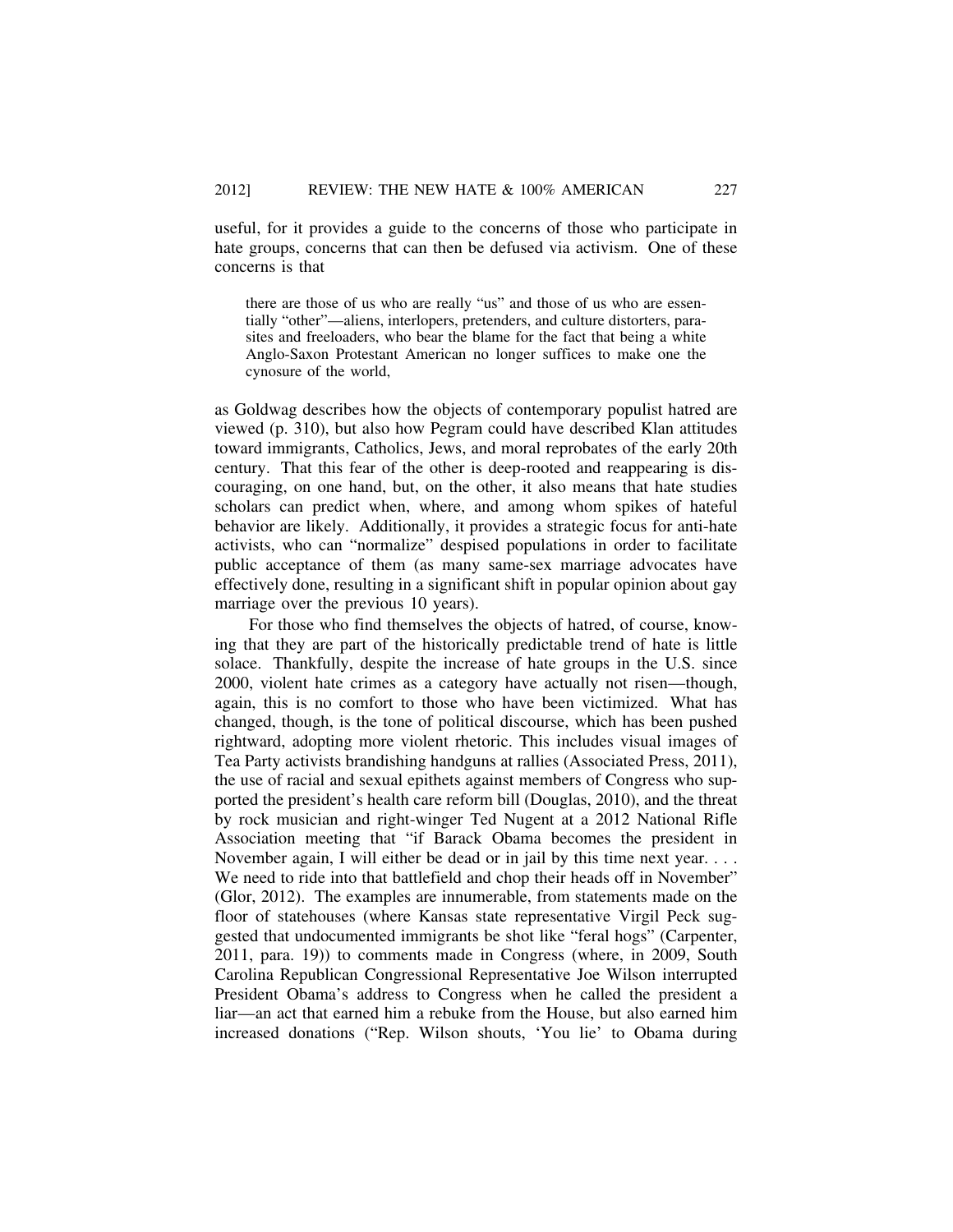useful, for it provides a guide to the concerns of those who participate in hate groups, concerns that can then be defused via activism. One of these concerns is that

there are those of us who are really "us" and those of us who are essentially "other"—aliens, interlopers, pretenders, and culture distorters, parasites and freeloaders, who bear the blame for the fact that being a white Anglo-Saxon Protestant American no longer suffices to make one the cynosure of the world,

as Goldwag describes how the objects of contemporary populist hatred are viewed (p. 310), but also how Pegram could have described Klan attitudes toward immigrants, Catholics, Jews, and moral reprobates of the early 20th century. That this fear of the other is deep-rooted and reappearing is discouraging, on one hand, but, on the other, it also means that hate studies scholars can predict when, where, and among whom spikes of hateful behavior are likely. Additionally, it provides a strategic focus for anti-hate activists, who can "normalize" despised populations in order to facilitate public acceptance of them (as many same-sex marriage advocates have effectively done, resulting in a significant shift in popular opinion about gay marriage over the previous 10 years).

For those who find themselves the objects of hatred, of course, knowing that they are part of the historically predictable trend of hate is little solace. Thankfully, despite the increase of hate groups in the U.S. since 2000, violent hate crimes as a category have actually not risen—though, again, this is no comfort to those who have been victimized. What has changed, though, is the tone of political discourse, which has been pushed rightward, adopting more violent rhetoric. This includes visual images of Tea Party activists brandishing handguns at rallies (Associated Press, 2011), the use of racial and sexual epithets against members of Congress who supported the president's health care reform bill (Douglas, 2010), and the threat by rock musician and right-winger Ted Nugent at a 2012 National Rifle Association meeting that "if Barack Obama becomes the president in November again, I will either be dead or in jail by this time next year. . . . We need to ride into that battlefield and chop their heads off in November" (Glor, 2012). The examples are innumerable, from statements made on the floor of statehouses (where Kansas state representative Virgil Peck suggested that undocumented immigrants be shot like "feral hogs" (Carpenter, 2011, para. 19)) to comments made in Congress (where, in 2009, South Carolina Republican Congressional Representative Joe Wilson interrupted President Obama's address to Congress when he called the president a liar—an act that earned him a rebuke from the House, but also earned him increased donations ("Rep. Wilson shouts, 'You lie' to Obama during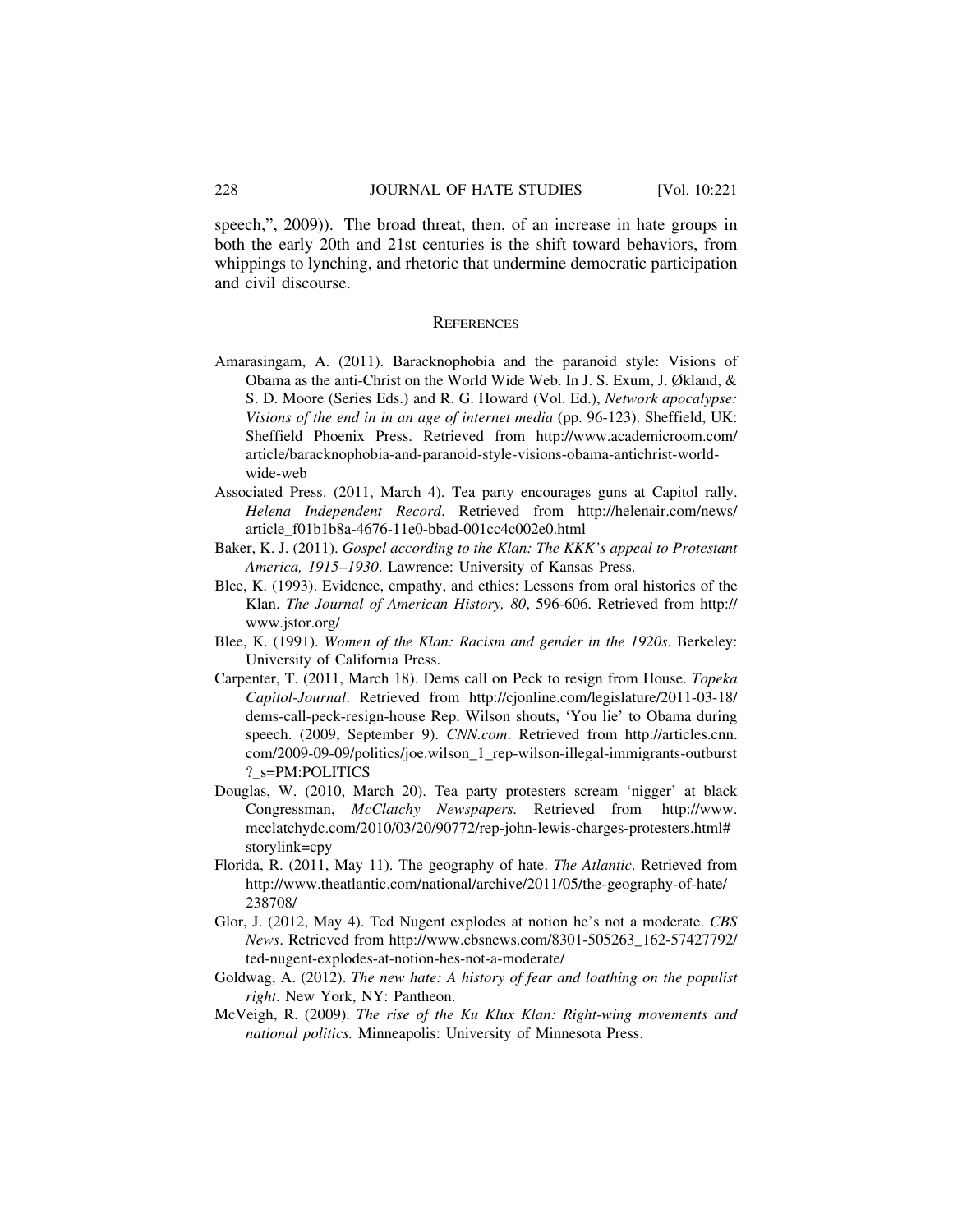speech,", 2009)). The broad threat, then, of an increase in hate groups in both the early 20th and 21st centuries is the shift toward behaviors, from whippings to lynching, and rhetoric that undermine democratic participation and civil discourse.

#### **REFERENCES**

- Amarasingam, A. (2011). Baracknophobia and the paranoid style: Visions of Obama as the anti-Christ on the World Wide Web. In J. S. Exum, J. Økland, & S. D. Moore (Series Eds.) and R. G. Howard (Vol. Ed.), *Network apocalypse: Visions of the end in in an age of internet media* (pp. 96-123). Sheffield, UK: Sheffield Phoenix Press. Retrieved from http://www.academicroom.com/ article/baracknophobia-and-paranoid-style-visions-obama-antichrist-worldwide-web
- Associated Press. (2011, March 4). Tea party encourages guns at Capitol rally. *Helena Independent Record*. Retrieved from http://helenair.com/news/ article\_f01b1b8a-4676-11e0-bbad-001cc4c002e0.html
- Baker, K. J. (2011). *Gospel according to the Klan: The KKK's appeal to Protestant America, 1915–1930*. Lawrence: University of Kansas Press.
- Blee, K. (1993). Evidence, empathy, and ethics: Lessons from oral histories of the Klan. *The Journal of American History, 80*, 596-606. Retrieved from http:// www.jstor.org/
- Blee, K. (1991). *Women of the Klan: Racism and gender in the 1920s*. Berkeley: University of California Press.
- Carpenter, T. (2011, March 18). Dems call on Peck to resign from House. *Topeka Capitol-Journal*. Retrieved from http://cjonline.com/legislature/2011-03-18/ dems-call-peck-resign-house Rep. Wilson shouts, 'You lie' to Obama during speech. (2009, September 9). *CNN.com*. Retrieved from http://articles.cnn. com/2009-09-09/politics/joe.wilson\_1\_rep-wilson-illegal-immigrants-outburst ?\_s=PM:POLITICS
- Douglas, W. (2010, March 20). Tea party protesters scream 'nigger' at black Congressman, *McClatchy Newspapers.* Retrieved from http://www. mcclatchydc.com/2010/03/20/90772/rep-john-lewis-charges-protesters.html# storylink=cpy
- Florida, R. (2011, May 11). The geography of hate. *The Atlantic*. Retrieved from http://www.theatlantic.com/national/archive/2011/05/the-geography-of-hate/ 238708/
- Glor, J. (2012, May 4). Ted Nugent explodes at notion he's not a moderate. *CBS News*. Retrieved from http://www.cbsnews.com/8301-505263\_162-57427792/ ted-nugent-explodes-at-notion-hes-not-a-moderate/
- Goldwag, A. (2012). *The new hate: A history of fear and loathing on the populist right*. New York, NY: Pantheon.
- McVeigh, R. (2009). *The rise of the Ku Klux Klan: Right-wing movements and national politics.* Minneapolis: University of Minnesota Press.